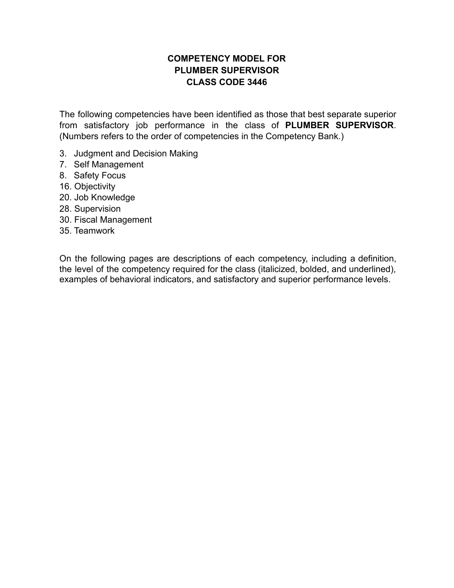# **COMPETENCY MODEL FOR PLUMBER SUPERVISOR CLASS CODE 3446**

The following competencies have been identified as those that best separate superior from satisfactory job performance in the class of **PLUMBER SUPERVISOR**. (Numbers refers to the order of competencies in the Competency Bank.)

- 3. Judgment and Decision Making
- 7. Self Management
- 8. Safety Focus
- 16. Objectivity
- 20. Job Knowledge
- 28. Supervision
- 30. Fiscal Management
- 35. Teamwork

On the following pages are descriptions of each competency, including a definition, the level of the competency required for the class (italicized, bolded, and underlined), examples of behavioral indicators, and satisfactory and superior performance levels.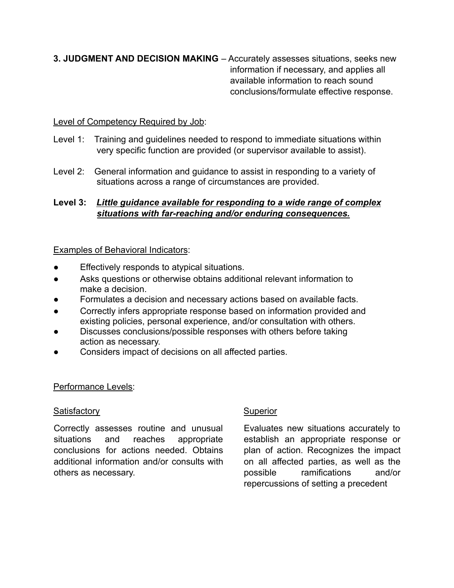## **3. JUDGMENT AND DECISION MAKING** – Accurately assesses situations, seeks new information if necessary, and applies all available information to reach sound conclusions/formulate effective response.

## Level of Competency Required by Job:

- Level 1: Training and guidelines needed to respond to immediate situations within very specific function are provided (or supervisor available to assist).
- Level 2: General information and guidance to assist in responding to a variety of situations across a range of circumstances are provided.

## **Level 3:** *Little guidance available for responding to a wide range of complex situations with far-reaching and/or enduring consequences.*

## Examples of Behavioral Indicators:

- Effectively responds to atypical situations.
- Asks questions or otherwise obtains additional relevant information to make a decision.
- Formulates a decision and necessary actions based on available facts.
- Correctly infers appropriate response based on information provided and existing policies, personal experience, and/or consultation with others.
- Discusses conclusions/possible responses with others before taking action as necessary.
- Considers impact of decisions on all affected parties.

### Performance Levels:

### Satisfactory Superior

Correctly assesses routine and unusual situations and reaches appropriate conclusions for actions needed. Obtains additional information and/or consults with others as necessary.

Evaluates new situations accurately to establish an appropriate response or plan of action. Recognizes the impact on all affected parties, as well as the possible ramifications and/or repercussions of setting a precedent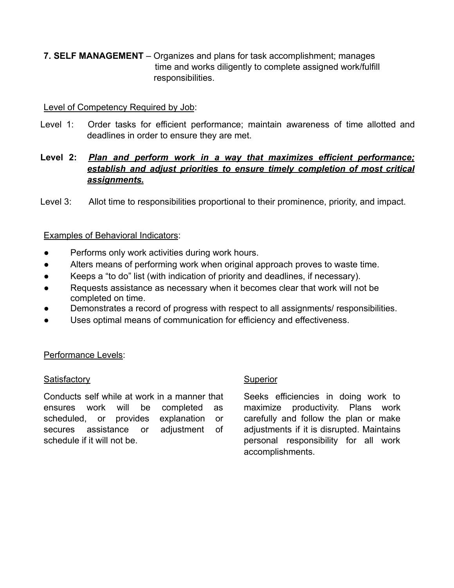**7. SELF MANAGEMENT** – Organizes and plans for task accomplishment; manages time and works diligently to complete assigned work/fulfill responsibilities.

## Level of Competency Required by Job:

Level 1: Order tasks for efficient performance; maintain awareness of time allotted and deadlines in order to ensure they are met.

## **Level 2:** *Plan and perform work in a way that maximizes efficient performance; establish and adjust priorities to ensure timely completion of most critical assignments.*

Level 3: Allot time to responsibilities proportional to their prominence, priority, and impact.

### Examples of Behavioral Indicators:

- Performs only work activities during work hours.
- Alters means of performing work when original approach proves to waste time.
- Keeps a "to do" list (with indication of priority and deadlines, if necessary).
- Requests assistance as necessary when it becomes clear that work will not be completed on time.
- Demonstrates a record of progress with respect to all assignments/ responsibilities.
- Uses optimal means of communication for efficiency and effectiveness.

### Performance Levels:

### Satisfactory **Superior** Superior

Conducts self while at work in a manner that ensures work will be completed as scheduled, or provides explanation or secures assistance or adjustment of schedule if it will not be.

Seeks efficiencies in doing work to maximize productivity. Plans work carefully and follow the plan or make adjustments if it is disrupted. Maintains personal responsibility for all work accomplishments.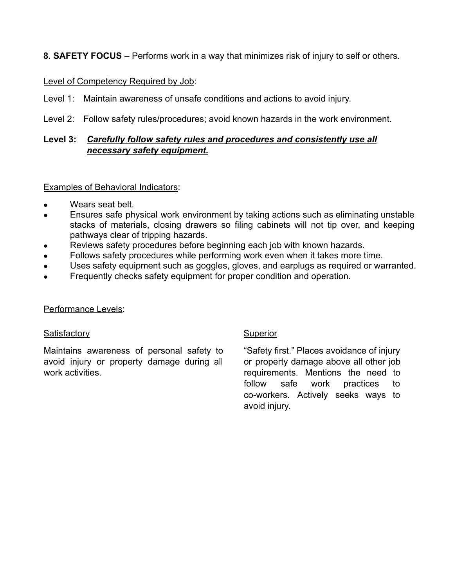# **8. SAFETY FOCUS** – Performs work in a way that minimizes risk of injury to self or others.

### Level of Competency Required by Job:

- Level 1: Maintain awareness of unsafe conditions and actions to avoid injury.
- Level 2: Follow safety rules/procedures; avoid known hazards in the work environment.

## **Level 3:** *Carefully follow safety rules and procedures and consistently use all necessary safety equipment.*

#### Examples of Behavioral Indicators:

- Wears seat belt.
- Ensures safe physical work environment by taking actions such as eliminating unstable stacks of materials, closing drawers so filing cabinets will not tip over, and keeping pathways clear of tripping hazards.
- Reviews safety procedures before beginning each job with known hazards.
- Follows safety procedures while performing work even when it takes more time.
- Uses safety equipment such as goggles, gloves, and earplugs as required or warranted.
- Frequently checks safety equipment for proper condition and operation.

#### Performance Levels:

#### Satisfactory **Superior** Superior

Maintains awareness of personal safety to avoid injury or property damage during all work activities

"Safety first." Places avoidance of injury or property damage above all other job requirements. Mentions the need to follow safe work practices to co-workers. Actively seeks ways to avoid injury.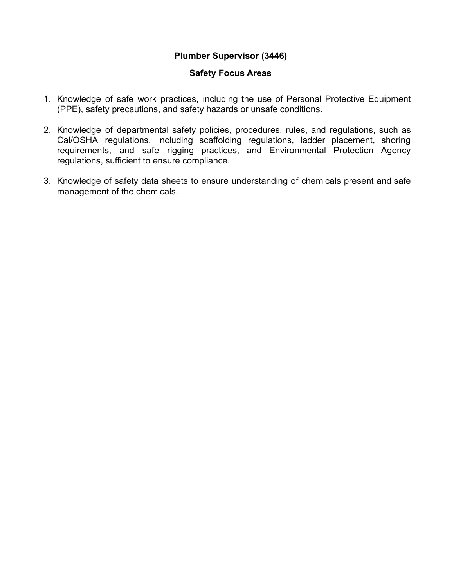## **Plumber Supervisor (3446)**

### **Safety Focus Areas**

- 1. Knowledge of safe work practices, including the use of Personal Protective Equipment (PPE), safety precautions, and safety hazards or unsafe conditions.
- 2. Knowledge of departmental safety policies, procedures, rules, and regulations, such as Cal/OSHA regulations, including scaffolding regulations, ladder placement, shoring requirements, and safe rigging practices, and Environmental Protection Agency regulations, sufficient to ensure compliance.
- 3. Knowledge of safety data sheets to ensure understanding of chemicals present and safe management of the chemicals.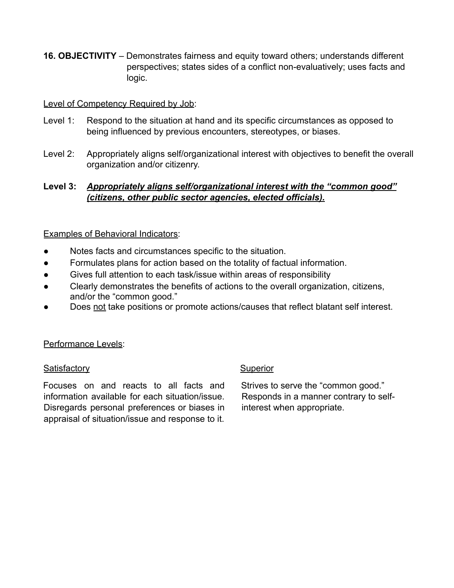**16. OBJECTIVITY** – Demonstrates fairness and equity toward others; understands different perspectives; states sides of a conflict non-evaluatively; uses facts and logic.

### Level of Competency Required by Job:

- Level 1: Respond to the situation at hand and its specific circumstances as opposed to being influenced by previous encounters, stereotypes, or biases.
- Level 2: Appropriately aligns self/organizational interest with objectives to benefit the overall organization and/or citizenry.

# **Level 3:** *Appropriately aligns self/organizational interest with the "common good" (citizens, other public sector agencies, elected officials).*

## Examples of Behavioral Indicators:

- Notes facts and circumstances specific to the situation.
- Formulates plans for action based on the totality of factual information.
- Gives full attention to each task/issue within areas of responsibility
- Clearly demonstrates the benefits of actions to the overall organization, citizens, and/or the "common good."
- Does not take positions or promote actions/causes that reflect blatant self interest.

### Performance Levels:

### Satisfactory **Superior** Superior

Focuses on and reacts to all facts and information available for each situation/issue. Disregards personal preferences or biases in appraisal of situation/issue and response to it.

Strives to serve the "common good." Responds in a manner contrary to selfinterest when appropriate.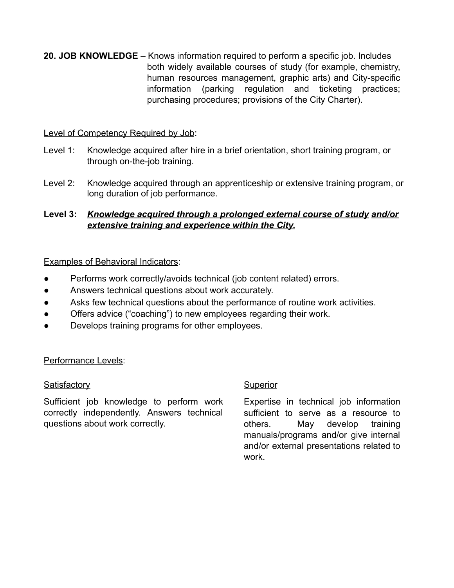**20. JOB KNOWLEDGE** – Knows information required to perform a specific job. Includes both widely available courses of study (for example, chemistry, human resources management, graphic arts) and City-specific information (parking regulation and ticketing practices; purchasing procedures; provisions of the City Charter).

## Level of Competency Required by Job:

- Level 1: Knowledge acquired after hire in a brief orientation, short training program, or through on-the-job training.
- Level 2: Knowledge acquired through an apprenticeship or extensive training program, or long duration of job performance.

# **Level 3:** *Knowledge acquired through a prolonged external course of study and/or extensive training and experience within the City.*

## Examples of Behavioral Indicators:

- Performs work correctly/avoids technical (job content related) errors.
- Answers technical questions about work accurately.
- Asks few technical questions about the performance of routine work activities.
- Offers advice ("coaching") to new employees regarding their work.
- Develops training programs for other employees.

### Performance Levels:

### Satisfactory **Superior** Superior

Sufficient job knowledge to perform work correctly independently. Answers technical questions about work correctly.

Expertise in technical job information sufficient to serve as a resource to others. May develop training manuals/programs and/or give internal and/or external presentations related to work.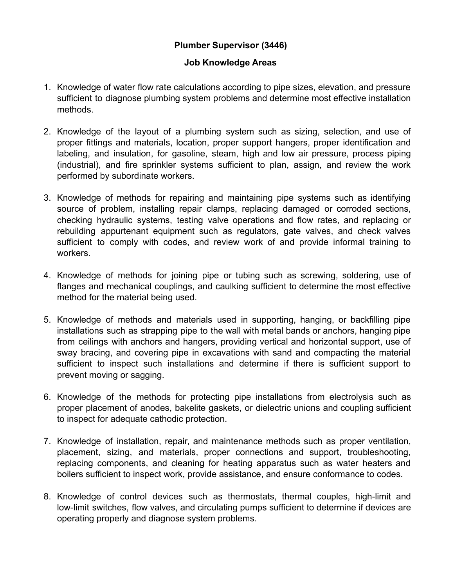# **Plumber Supervisor (3446)**

## **Job Knowledge Areas**

- 1. Knowledge of water flow rate calculations according to pipe sizes, elevation, and pressure sufficient to diagnose plumbing system problems and determine most effective installation methods.
- 2. Knowledge of the layout of a plumbing system such as sizing, selection, and use of proper fittings and materials, location, proper support hangers, proper identification and labeling, and insulation, for gasoline, steam, high and low air pressure, process piping (industrial), and fire sprinkler systems sufficient to plan, assign, and review the work performed by subordinate workers.
- 3. Knowledge of methods for repairing and maintaining pipe systems such as identifying source of problem, installing repair clamps, replacing damaged or corroded sections, checking hydraulic systems, testing valve operations and flow rates, and replacing or rebuilding appurtenant equipment such as regulators, gate valves, and check valves sufficient to comply with codes, and review work of and provide informal training to workers.
- 4. Knowledge of methods for joining pipe or tubing such as screwing, soldering, use of flanges and mechanical couplings, and caulking sufficient to determine the most effective method for the material being used.
- 5. Knowledge of methods and materials used in supporting, hanging, or backfilling pipe installations such as strapping pipe to the wall with metal bands or anchors, hanging pipe from ceilings with anchors and hangers, providing vertical and horizontal support, use of sway bracing, and covering pipe in excavations with sand and compacting the material sufficient to inspect such installations and determine if there is sufficient support to prevent moving or sagging.
- 6. Knowledge of the methods for protecting pipe installations from electrolysis such as proper placement of anodes, bakelite gaskets, or dielectric unions and coupling sufficient to inspect for adequate cathodic protection.
- 7. Knowledge of installation, repair, and maintenance methods such as proper ventilation, placement, sizing, and materials, proper connections and support, troubleshooting, replacing components, and cleaning for heating apparatus such as water heaters and boilers sufficient to inspect work, provide assistance, and ensure conformance to codes.
- 8. Knowledge of control devices such as thermostats, thermal couples, high-limit and low-limit switches, flow valves, and circulating pumps sufficient to determine if devices are operating properly and diagnose system problems.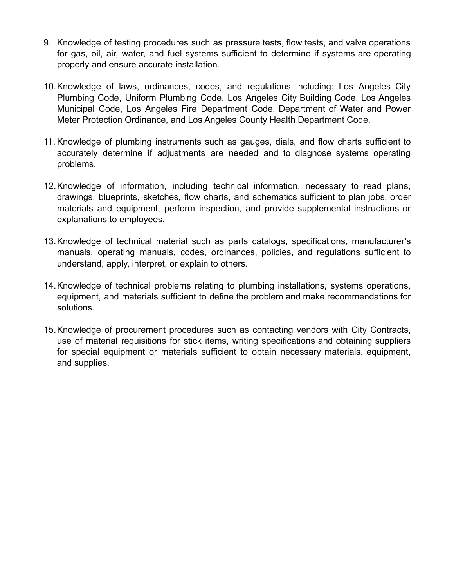- 9. Knowledge of testing procedures such as pressure tests, flow tests, and valve operations for gas, oil, air, water, and fuel systems sufficient to determine if systems are operating properly and ensure accurate installation.
- 10.Knowledge of laws, ordinances, codes, and regulations including: Los Angeles City Plumbing Code, Uniform Plumbing Code, Los Angeles City Building Code, Los Angeles Municipal Code, Los Angeles Fire Department Code, Department of Water and Power Meter Protection Ordinance, and Los Angeles County Health Department Code.
- 11. Knowledge of plumbing instruments such as gauges, dials, and flow charts sufficient to accurately determine if adjustments are needed and to diagnose systems operating problems.
- 12.Knowledge of information, including technical information, necessary to read plans, drawings, blueprints, sketches, flow charts, and schematics sufficient to plan jobs, order materials and equipment, perform inspection, and provide supplemental instructions or explanations to employees.
- 13.Knowledge of technical material such as parts catalogs, specifications, manufacturer's manuals, operating manuals, codes, ordinances, policies, and regulations sufficient to understand, apply, interpret, or explain to others.
- 14.Knowledge of technical problems relating to plumbing installations, systems operations, equipment, and materials sufficient to define the problem and make recommendations for solutions.
- 15.Knowledge of procurement procedures such as contacting vendors with City Contracts, use of material requisitions for stick items, writing specifications and obtaining suppliers for special equipment or materials sufficient to obtain necessary materials, equipment, and supplies.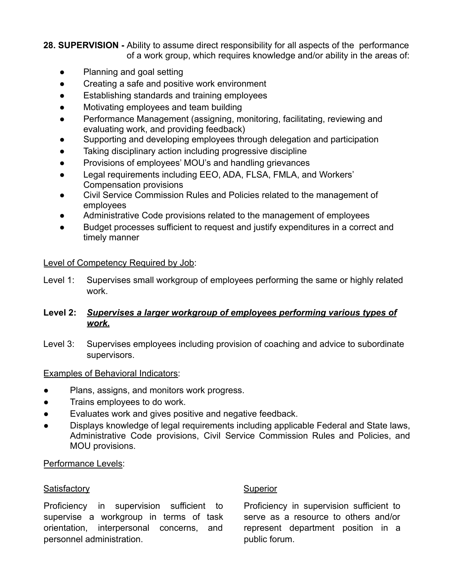**28. SUPERVISION -** Ability to assume direct responsibility for all aspects of the performance of a work group, which requires knowledge and/or ability in the areas of:

- Planning and goal setting
- Creating a safe and positive work environment
- Establishing standards and training employees
- Motivating employees and team building
- Performance Management (assigning, monitoring, facilitating, reviewing and evaluating work, and providing feedback)
- Supporting and developing employees through delegation and participation
- Taking disciplinary action including progressive discipline
- Provisions of employees' MOU's and handling grievances
- Legal requirements including EEO, ADA, FLSA, FMLA, and Workers' Compensation provisions
- Civil Service Commission Rules and Policies related to the management of employees
- Administrative Code provisions related to the management of employees
- Budget processes sufficient to request and justify expenditures in a correct and timely manner

#### Level of Competency Required by Job:

Level 1: Supervises small workgroup of employees performing the same or highly related work.

## **Level 2:** *Supervises a larger workgroup of employees performing various types of work.*

Level 3: Supervises employees including provision of coaching and advice to subordinate supervisors.

### Examples of Behavioral Indicators:

- Plans, assigns, and monitors work progress.
- Trains employees to do work.
- Evaluates work and gives positive and negative feedback.
- Displays knowledge of legal requirements including applicable Federal and State laws, Administrative Code provisions, Civil Service Commission Rules and Policies, and MOU provisions.

### Performance Levels:

#### **Satisfactory** Satisfactory Superior

Proficiency in supervision sufficient to supervise a workgroup in terms of task orientation, interpersonal concerns, and personnel administration.

Proficiency in supervision sufficient to serve as a resource to others and/or represent department position in a public forum.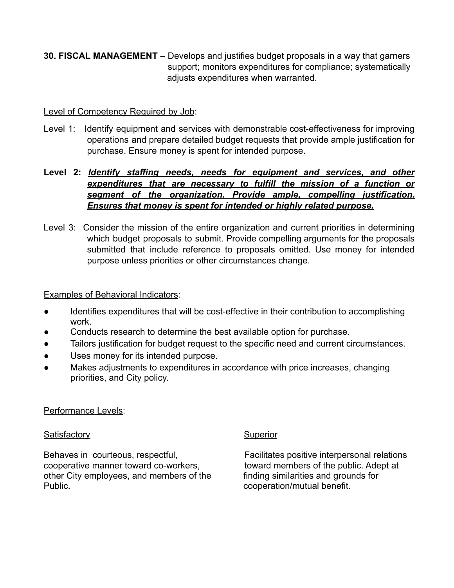**30. FISCAL MANAGEMENT** – Develops and justifies budget proposals in a way that garners support; monitors expenditures for compliance; systematically adjusts expenditures when warranted.

## Level of Competency Required by Job:

Level 1: Identify equipment and services with demonstrable cost-effectiveness for improving operations and prepare detailed budget requests that provide ample justification for purchase. Ensure money is spent for intended purpose.

# **Level 2:** *Identify staffing needs, needs for equipment and services, and other expenditures that are necessary to fulfill the mission of a function or segment of the organization. Provide ample, compelling justification. Ensures that money is spent for intended or highly related purpose.*

Level 3: Consider the mission of the entire organization and current priorities in determining which budget proposals to submit. Provide compelling arguments for the proposals submitted that include reference to proposals omitted. Use money for intended purpose unless priorities or other circumstances change.

## Examples of Behavioral Indicators:

- Identifies expenditures that will be cost-effective in their contribution to accomplishing work.
- Conducts research to determine the best available option for purchase.
- Tailors justification for budget request to the specific need and current circumstances.
- Uses money for its intended purpose.
- Makes adjustments to expenditures in accordance with price increases, changing priorities, and City policy.

### Performance Levels:

# **Satisfactory** Superior

Behaves in courteous, respectful, Entitled Maculitates positive interpersonal relations cooperative manner toward co-workers, toward members of the public. Adept at other City employees, and members of the finding similarities and grounds for Public. **Cooperation/mutual benefit.**